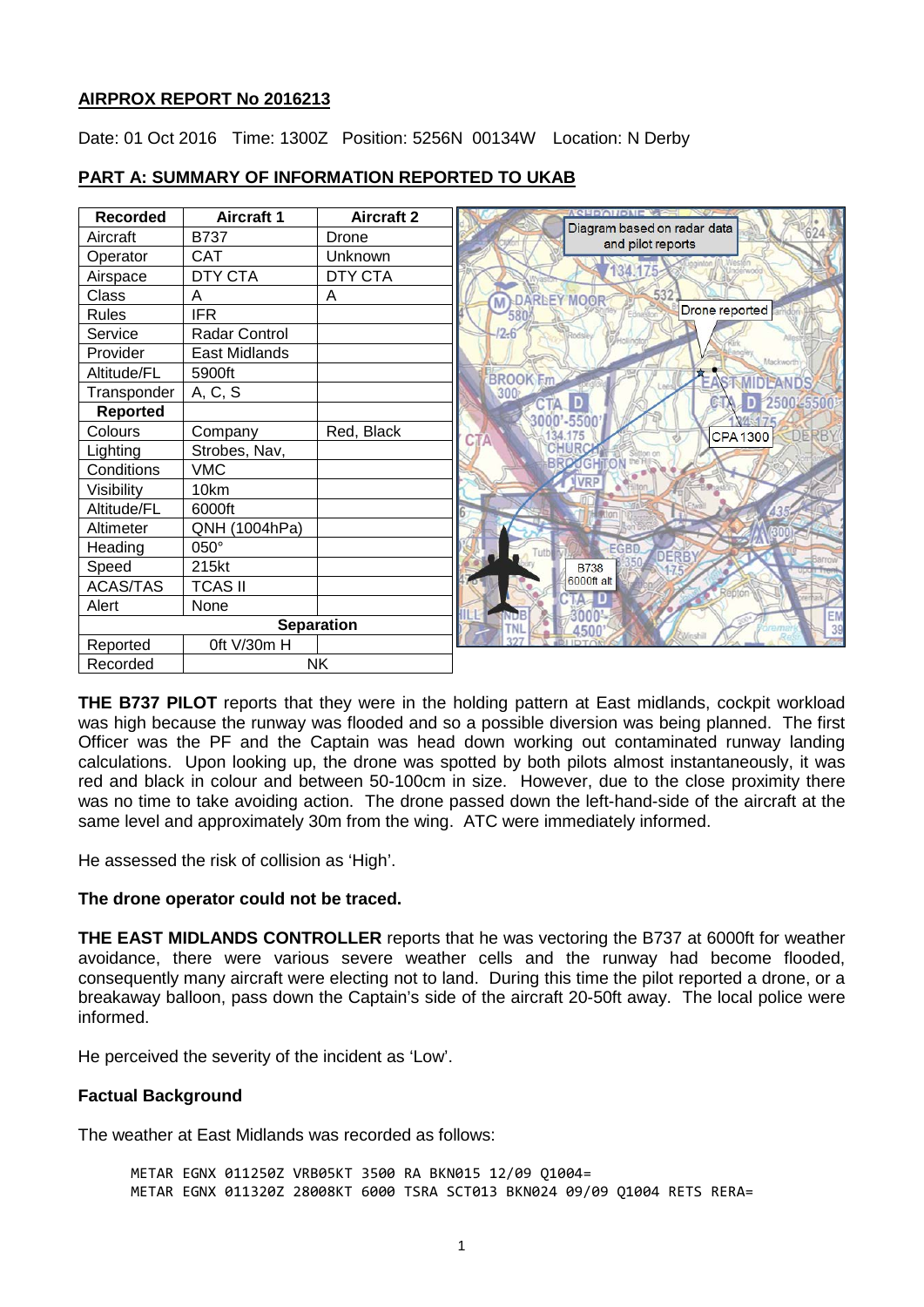### **AIRPROX REPORT No 2016213**

Date: 01 Oct 2016 Time: 1300Z Position: 5256N 00134W Location: N Derby

| <b>Recorded</b>   | <b>Aircraft 1</b> | <b>Aircraft 2</b> | ACUDAIR                                          |
|-------------------|-------------------|-------------------|--------------------------------------------------|
| Aircraft          | <b>B737</b>       | Drone             | Diagram based on radar data<br>and pilot reports |
| Operator          | <b>CAT</b>        | Unknown           |                                                  |
| Airspace          | <b>DTY CTA</b>    | <b>DTY CTA</b>    | 34.175                                           |
| Class             | A                 | A                 | 532<br>DARLEY MOOR<br>M                          |
| Rules             | <b>IFR</b>        |                   | Drone reported                                   |
| Service           | Radar Control     |                   | $2-6$                                            |
| Provider          | East Midlands     |                   | Mackworth                                        |
| Altitude/FL       | 5900ft            |                   | <b>BROOK Fm</b><br><b>IDEANDS</b>                |
| Transponder       | A, C, S           |                   | <b>300</b><br>250025500                          |
| <b>Reported</b>   |                   |                   | ID<br>CTA<br>3000'-5500'                         |
| Colours           | Company           | Red, Black        | DERBY<br><b>CPA1300</b><br>CTA                   |
| Lighting          | Strobes, Nav,     |                   |                                                  |
| Conditions        | <b>VMC</b>        |                   | ON                                               |
| Visibility        | 10km              |                   | <b>Bonast</b>                                    |
| Altitude/FL       | 6000ft            |                   |                                                  |
| Altimeter         | QNH (1004hPa)     |                   |                                                  |
| Heading           | 050°              |                   | <b>EGBD</b><br><b>DERBY</b>                      |
| Speed             | 215kt             |                   | <b>B738</b>                                      |
| <b>ACAS/TAS</b>   | <b>TCAS II</b>    |                   | 6000ft alt                                       |
| Alert             | None              |                   | EM                                               |
| <b>Separation</b> |                   |                   |                                                  |
| Reported          | Oft V/30m H       |                   |                                                  |
| Recorded          | <b>NK</b>         |                   |                                                  |

### **PART A: SUMMARY OF INFORMATION REPORTED TO UKAB**

**THE B737 PILOT** reports that they were in the holding pattern at East midlands, cockpit workload was high because the runway was flooded and so a possible diversion was being planned. The first Officer was the PF and the Captain was head down working out contaminated runway landing calculations. Upon looking up, the drone was spotted by both pilots almost instantaneously, it was red and black in colour and between 50-100cm in size. However, due to the close proximity there was no time to take avoiding action. The drone passed down the left-hand-side of the aircraft at the same level and approximately 30m from the wing. ATC were immediately informed.

He assessed the risk of collision as 'High'.

### **The drone operator could not be traced.**

**THE EAST MIDLANDS CONTROLLER** reports that he was vectoring the B737 at 6000ft for weather avoidance, there were various severe weather cells and the runway had become flooded, consequently many aircraft were electing not to land. During this time the pilot reported a drone, or a breakaway balloon, pass down the Captain's side of the aircraft 20-50ft away. The local police were informed.

He perceived the severity of the incident as 'Low'.

# **Factual Background**

The weather at East Midlands was recorded as follows:

METAR EGNX 011250Z VRB05KT 3500 RA BKN015 12/09 Q1004= METAR EGNX 011320Z 28008KT 6000 TSRA SCT013 BKN024 09/09 Q1004 RETS RERA=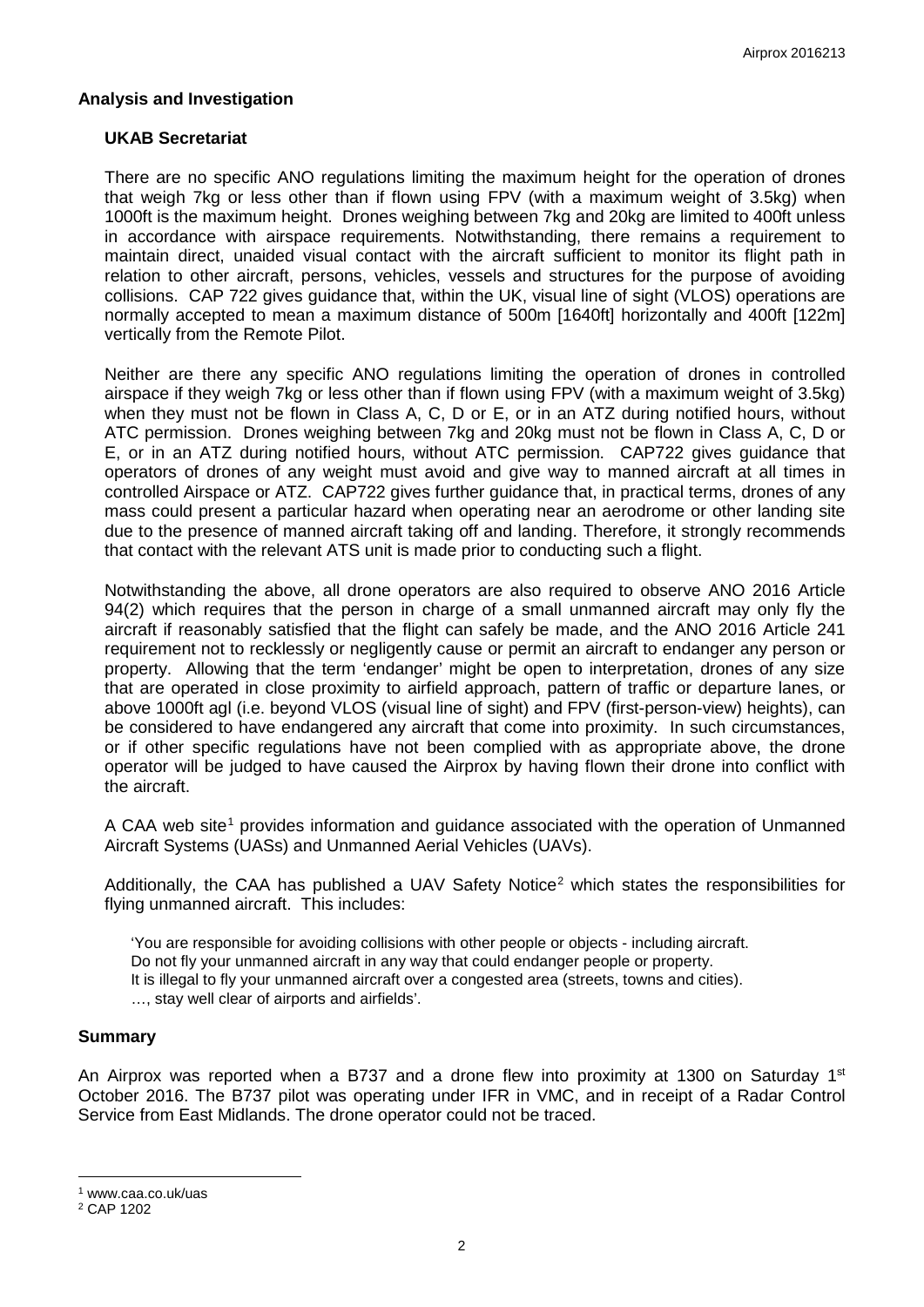### **Analysis and Investigation**

### **UKAB Secretariat**

There are no specific ANO regulations limiting the maximum height for the operation of drones that weigh 7kg or less other than if flown using FPV (with a maximum weight of 3.5kg) when 1000ft is the maximum height. Drones weighing between 7kg and 20kg are limited to 400ft unless in accordance with airspace requirements. Notwithstanding, there remains a requirement to maintain direct, unaided visual contact with the aircraft sufficient to monitor its flight path in relation to other aircraft, persons, vehicles, vessels and structures for the purpose of avoiding collisions. CAP 722 gives guidance that, within the UK, visual line of sight (VLOS) operations are normally accepted to mean a maximum distance of 500m [1640ft] horizontally and 400ft [122m] vertically from the Remote Pilot.

Neither are there any specific ANO regulations limiting the operation of drones in controlled airspace if they weigh 7kg or less other than if flown using FPV (with a maximum weight of 3.5kg) when they must not be flown in Class A, C, D or E, or in an ATZ during notified hours, without ATC permission. Drones weighing between 7kg and 20kg must not be flown in Class A, C, D or E, or in an ATZ during notified hours, without ATC permission. CAP722 gives guidance that operators of drones of any weight must avoid and give way to manned aircraft at all times in controlled Airspace or ATZ. CAP722 gives further guidance that, in practical terms, drones of any mass could present a particular hazard when operating near an aerodrome or other landing site due to the presence of manned aircraft taking off and landing. Therefore, it strongly recommends that contact with the relevant ATS unit is made prior to conducting such a flight.

Notwithstanding the above, all drone operators are also required to observe ANO 2016 Article 94(2) which requires that the person in charge of a small unmanned aircraft may only fly the aircraft if reasonably satisfied that the flight can safely be made, and the ANO 2016 Article 241 requirement not to recklessly or negligently cause or permit an aircraft to endanger any person or property. Allowing that the term 'endanger' might be open to interpretation, drones of any size that are operated in close proximity to airfield approach, pattern of traffic or departure lanes, or above 1000ft agl (i.e. beyond VLOS (visual line of sight) and FPV (first-person-view) heights), can be considered to have endangered any aircraft that come into proximity. In such circumstances, or if other specific regulations have not been complied with as appropriate above, the drone operator will be judged to have caused the Airprox by having flown their drone into conflict with the aircraft.

A CAA web site<sup>[1](#page-1-0)</sup> provides information and guidance associated with the operation of Unmanned Aircraft Systems (UASs) and Unmanned Aerial Vehicles (UAVs).

Additionally, the CAA has published a UAV Safety Notice<sup>[2](#page-1-1)</sup> which states the responsibilities for flying unmanned aircraft. This includes:

'You are responsible for avoiding collisions with other people or objects - including aircraft.

Do not fly your unmanned aircraft in any way that could endanger people or property.

It is illegal to fly your unmanned aircraft over a congested area (streets, towns and cities).

…, stay well clear of airports and airfields'.

#### **Summary**

An Airprox was reported when a B737 and a drone flew into proximity at 1300 on Saturday  $1<sup>st</sup>$ October 2016. The B737 pilot was operating under IFR in VMC, and in receipt of a Radar Control Service from East Midlands. The drone operator could not be traced.

l

<span id="page-1-0"></span><sup>1</sup> www.caa.co.uk/uas

<span id="page-1-1"></span><sup>2</sup> CAP 1202